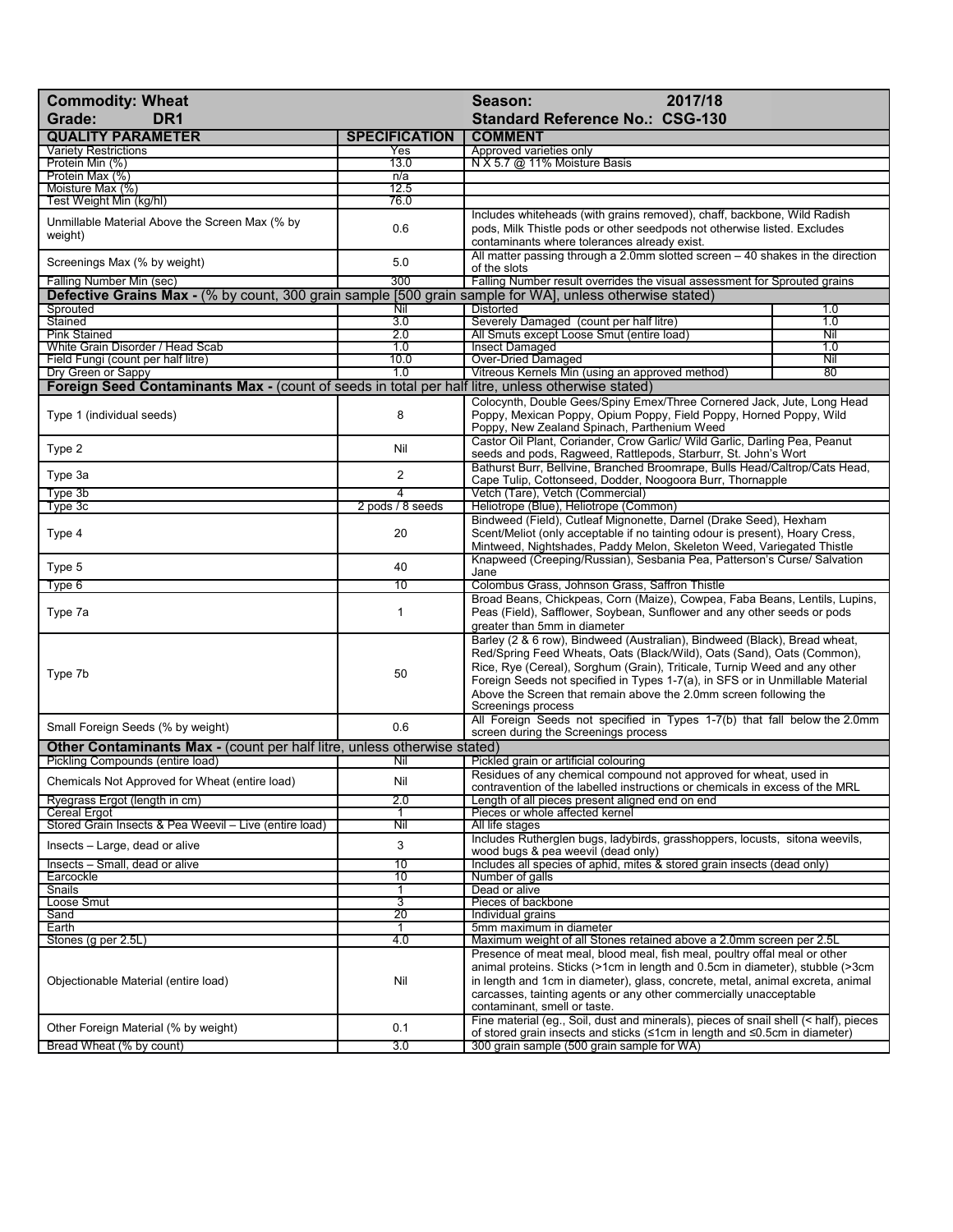| <b>Commodity: Wheat</b>                                                                                      |                      | 2017/18<br>Season:                                                                                                                                                                          |            |  |
|--------------------------------------------------------------------------------------------------------------|----------------------|---------------------------------------------------------------------------------------------------------------------------------------------------------------------------------------------|------------|--|
| DR <sub>1</sub><br>Grade:                                                                                    |                      | <b>Standard Reference No.: CSG-130</b>                                                                                                                                                      |            |  |
| <b>QUALITY PARAMETER</b>                                                                                     | <b>SPECIFICATION</b> | <b>COMMENT</b>                                                                                                                                                                              |            |  |
| <b>Variety Restrictions</b>                                                                                  | Yes                  | Approved varieties only                                                                                                                                                                     |            |  |
| Protein Min (%)<br>Protein Max (%)                                                                           | 13.0<br>n/a          | N X 5.7 @ 11% Moisture Basis                                                                                                                                                                |            |  |
| Moisture Max (%)                                                                                             | 12.5                 |                                                                                                                                                                                             |            |  |
| Test Weight Min (kg/hl)                                                                                      | 76.0                 |                                                                                                                                                                                             |            |  |
| Unmillable Material Above the Screen Max (% by                                                               |                      | Includes whiteheads (with grains removed), chaff, backbone, Wild Radish                                                                                                                     |            |  |
| weight)                                                                                                      | 0.6                  | pods, Milk Thistle pods or other seedpods not otherwise listed. Excludes<br>contaminants where tolerances already exist.                                                                    |            |  |
|                                                                                                              |                      | All matter passing through a 2.0mm slotted screen $-40$ shakes in the direction                                                                                                             |            |  |
| Screenings Max (% by weight)                                                                                 | 5.0                  | of the slots                                                                                                                                                                                |            |  |
| Falling Number Min (sec)                                                                                     | 300                  | Falling Number result overrides the visual assessment for Sprouted grains                                                                                                                   |            |  |
| Defective Grains Max - (% by count, 300 grain sample [500 grain sample for WAI, unless otherwise stated)     |                      |                                                                                                                                                                                             |            |  |
| Sprouted<br>Stained                                                                                          | Nil<br>3.0           | <b>Distorted</b><br>Severely Damaged (count per half litre)                                                                                                                                 | 1.0<br>1.0 |  |
| <b>Pink Stained</b>                                                                                          | 2.0                  | All Smuts except Loose Smut (entire load)                                                                                                                                                   | Nil        |  |
| White Grain Disorder / Head Scab                                                                             | 1.0                  | <b>Insect Damaged</b>                                                                                                                                                                       | 1.0        |  |
| Field Fungi (count per half litre)                                                                           | 10.0                 | Over-Dried Damaged                                                                                                                                                                          | Nil        |  |
| Dry Green or Sappy                                                                                           | 1.0                  | Vitreous Kernels Min (using an approved method)                                                                                                                                             | 80         |  |
| Foreign Seed Contaminants Max - (count of seeds in total per half litre, unless otherwise stated)            |                      |                                                                                                                                                                                             |            |  |
| Type 1 (individual seeds)                                                                                    | 8                    | Colocynth, Double Gees/Spiny Emex/Three Cornered Jack, Jute, Long Head<br>Poppy, Mexican Poppy, Opium Poppy, Field Poppy, Horned Poppy, Wild<br>Poppy, New Zealand Spinach, Parthenium Weed |            |  |
| Type 2                                                                                                       | Nil                  | Castor Oil Plant, Coriander, Crow Garlic/ Wild Garlic, Darling Pea, Peanut                                                                                                                  |            |  |
|                                                                                                              |                      | seeds and pods, Ragweed, Rattlepods, Starburr, St. John's Wort                                                                                                                              |            |  |
| Type 3a                                                                                                      | $\overline{2}$       | Bathurst Burr, Bellvine, Branched Broomrape, Bulls Head/Caltrop/Cats Head,                                                                                                                  |            |  |
| Type 3b                                                                                                      |                      | Cape Tulip, Cottonseed, Dodder, Noogoora Burr, Thornapple<br>Vetch (Tare), Vetch (Commercial)                                                                                               |            |  |
| Type 3c                                                                                                      | 2 pods / 8 seeds     | Heliotrope (Blue), Heliotrope (Common)                                                                                                                                                      |            |  |
|                                                                                                              |                      | Bindweed (Field), Cutleaf Mignonette, Darnel (Drake Seed), Hexham                                                                                                                           |            |  |
| Type 4                                                                                                       | 20                   | Scent/Meliot (only acceptable if no tainting odour is present), Hoary Cress,                                                                                                                |            |  |
|                                                                                                              |                      | Mintweed, Nightshades, Paddy Melon, Skeleton Weed, Variegated Thistle                                                                                                                       |            |  |
| Type 5                                                                                                       | 40                   | Knapweed (Creeping/Russian), Sesbania Pea, Patterson's Curse/ Salvation<br>Jane                                                                                                             |            |  |
| Type 6                                                                                                       | 10                   | Colombus Grass, Johnson Grass, Saffron Thistle                                                                                                                                              |            |  |
|                                                                                                              |                      | Broad Beans, Chickpeas, Corn (Maize), Cowpea, Faba Beans, Lentils, Lupins,                                                                                                                  |            |  |
| Type 7a                                                                                                      | $\mathbf{1}$         | Peas (Field), Safflower, Soybean, Sunflower and any other seeds or pods                                                                                                                     |            |  |
|                                                                                                              |                      | greater than 5mm in diameter                                                                                                                                                                |            |  |
|                                                                                                              |                      | Barley (2 & 6 row), Bindweed (Australian), Bindweed (Black), Bread wheat,                                                                                                                   |            |  |
|                                                                                                              |                      | Red/Spring Feed Wheats, Oats (Black/Wild), Oats (Sand), Oats (Common),                                                                                                                      |            |  |
| Type 7b                                                                                                      | 50                   | Rice, Rye (Cereal), Sorghum (Grain), Triticale, Turnip Weed and any other<br>Foreign Seeds not specified in Types 1-7(a), in SFS or in Unmillable Material                                  |            |  |
|                                                                                                              |                      | Above the Screen that remain above the 2.0mm screen following the                                                                                                                           |            |  |
|                                                                                                              |                      | Screenings process                                                                                                                                                                          |            |  |
| Small Foreign Seeds (% by weight)                                                                            | 0.6                  | All Foreign Seeds not specified in Types 1-7(b) that fall below the 2.0mm                                                                                                                   |            |  |
|                                                                                                              |                      | screen during the Screenings process                                                                                                                                                        |            |  |
| Other Contaminants Max - (count per half litre, unless otherwise stated)<br>Pickling Compounds (entire load) | Nil                  | Pickled grain or artificial colouring                                                                                                                                                       |            |  |
|                                                                                                              |                      | Residues of any chemical compound not approved for wheat, used in                                                                                                                           |            |  |
| Chemicals Not Approved for Wheat (entire load)                                                               | Nil                  | contravention of the labelled instructions or chemicals in excess of the MRL                                                                                                                |            |  |
| Ryegrass Ergot (length in cm)                                                                                | 2.0                  | Length of all pieces present aligned end on end                                                                                                                                             |            |  |
| <b>Cereal Ergot</b><br>Stored Grain Insects & Pea Weevil - Live (entire load)                                | Nil                  | Pieces or whole affected kernel<br>All life stages                                                                                                                                          |            |  |
|                                                                                                              |                      | Includes Rutherglen bugs, ladybirds, grasshoppers, locusts, sitona weevils,                                                                                                                 |            |  |
| Insects - Large, dead or alive                                                                               | 3                    | wood bugs & pea weevil (dead only)                                                                                                                                                          |            |  |
| Insects - Small, dead or alive                                                                               | 10                   | Includes all species of aphid, mites & stored grain insects (dead only)                                                                                                                     |            |  |
| Earcockle<br><b>Snails</b>                                                                                   | 10                   | Number of galls                                                                                                                                                                             |            |  |
| Loose Smut                                                                                                   | 1<br>3               | Dead or alive<br>Pieces of backbone                                                                                                                                                         |            |  |
| Sand                                                                                                         | 20                   | Individual grains                                                                                                                                                                           |            |  |
| Earth                                                                                                        |                      | 5mm maximum in diameter                                                                                                                                                                     |            |  |
| Stones (g per 2.5L)                                                                                          | 4.0                  | Maximum weight of all Stones retained above a 2.0mm screen per 2.5L                                                                                                                         |            |  |
|                                                                                                              | Nil                  | Presence of meat meal, blood meal, fish meal, poultry offal meal or other                                                                                                                   |            |  |
| Objectionable Material (entire load)                                                                         |                      | animal proteins. Sticks (>1cm in length and 0.5cm in diameter), stubble (>3cm<br>in length and 1cm in diameter), glass, concrete, metal, animal excreta, animal                             |            |  |
|                                                                                                              |                      | carcasses, tainting agents or any other commercially unacceptable                                                                                                                           |            |  |
|                                                                                                              |                      | contaminant, smell or taste.                                                                                                                                                                |            |  |
| Other Foreign Material (% by weight)                                                                         | 0.1                  | Fine material (eg., Soil, dust and minerals), pieces of snail shell (< half), pieces                                                                                                        |            |  |
|                                                                                                              |                      | of stored grain insects and sticks (≤1cm in length and ≤0.5cm in diameter)                                                                                                                  |            |  |
| Bread Wheat (% by count)                                                                                     | 3.0                  | 300 grain sample (500 grain sample for WA)                                                                                                                                                  |            |  |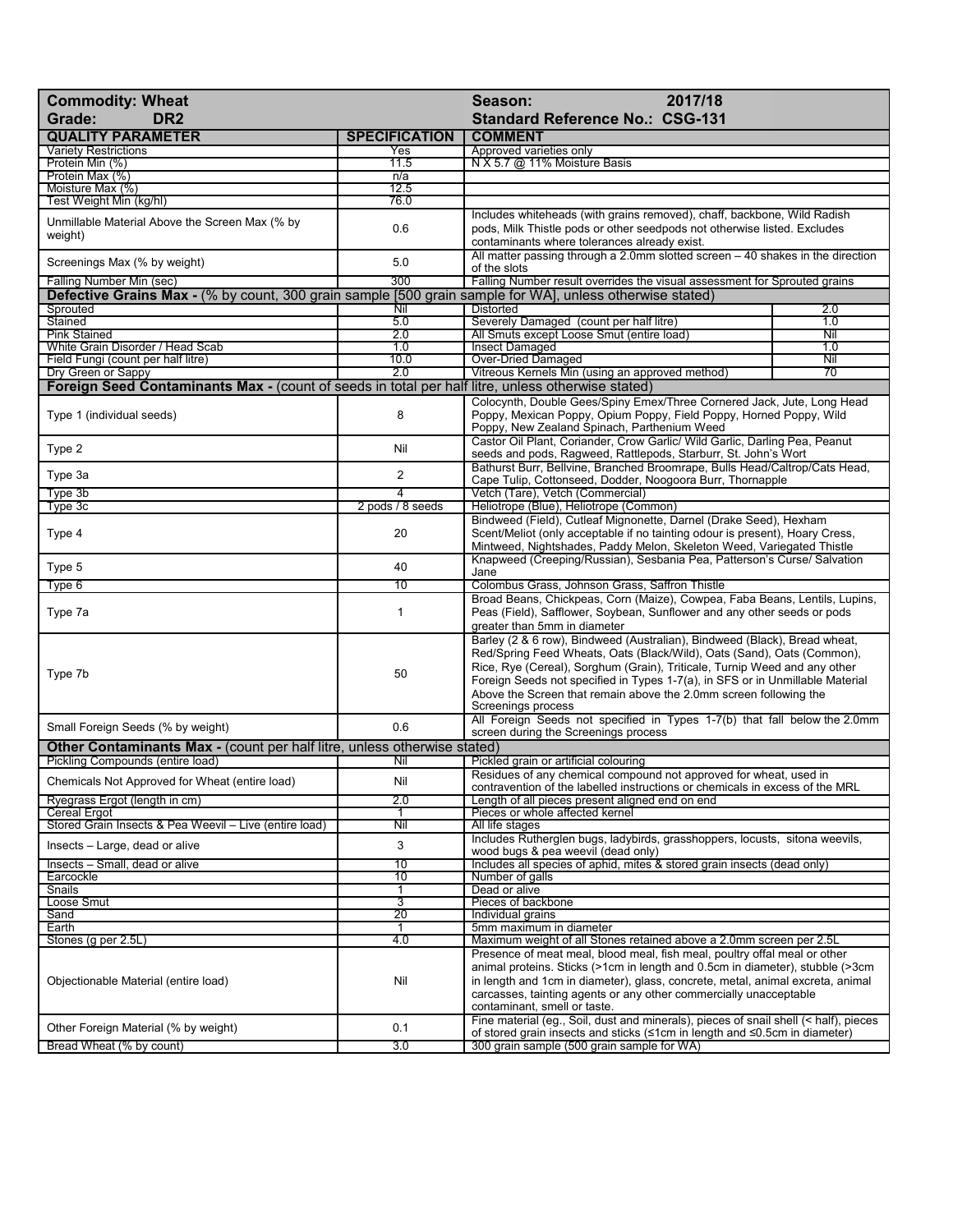| <b>Commodity: Wheat</b>                                                                                  |                      | 2017/18<br>Season:                                                                                                                                                                          |                                                                               |  |  |
|----------------------------------------------------------------------------------------------------------|----------------------|---------------------------------------------------------------------------------------------------------------------------------------------------------------------------------------------|-------------------------------------------------------------------------------|--|--|
| Grade:<br>DR <sub>2</sub>                                                                                |                      | <b>Standard Reference No.: CSG-131</b>                                                                                                                                                      |                                                                               |  |  |
| <b>QUALITY PARAMETER</b>                                                                                 | <b>SPECIFICATION</b> | <b>COMMENT</b>                                                                                                                                                                              |                                                                               |  |  |
| <b>Variety Restrictions</b>                                                                              | Yes                  | Approved varieties only                                                                                                                                                                     |                                                                               |  |  |
| Protein Min (%)<br>Protein Max (%)                                                                       | 11.5<br>n/a          | N X 5.7 @ 11% Moisture Basis                                                                                                                                                                |                                                                               |  |  |
| Moisture Max (%)                                                                                         | 12.5                 |                                                                                                                                                                                             |                                                                               |  |  |
| Test Weight Min (kg/hl)                                                                                  | 76.0                 |                                                                                                                                                                                             |                                                                               |  |  |
| Unmillable Material Above the Screen Max (% by                                                           |                      | Includes whiteheads (with grains removed), chaff, backbone, Wild Radish                                                                                                                     |                                                                               |  |  |
| weight)                                                                                                  | 0.6                  | pods, Milk Thistle pods or other seedpods not otherwise listed. Excludes                                                                                                                    |                                                                               |  |  |
|                                                                                                          |                      | contaminants where tolerances already exist.                                                                                                                                                |                                                                               |  |  |
| Screenings Max (% by weight)                                                                             | 5.0                  | All matter passing through a 2.0mm slotted screen $-40$ shakes in the direction                                                                                                             |                                                                               |  |  |
| Falling Number Min (sec)                                                                                 | 300                  | of the slots<br>Falling Number result overrides the visual assessment for Sprouted grains                                                                                                   |                                                                               |  |  |
| Defective Grains Max - (% by count, 300 grain sample [500 grain sample for WA], unless otherwise stated) |                      |                                                                                                                                                                                             |                                                                               |  |  |
| Sprouted                                                                                                 | Nil                  | <b>Distorted</b>                                                                                                                                                                            | 2.0                                                                           |  |  |
| Stained                                                                                                  | 5.0                  | Severely Damaged (count per half litre)                                                                                                                                                     | 1.0                                                                           |  |  |
| <b>Pink Stained</b>                                                                                      | $\overline{2.0}$     | All Smuts except Loose Smut (entire load)                                                                                                                                                   | Nil                                                                           |  |  |
| White Grain Disorder / Head Scab                                                                         | 1.0                  | <b>Insect Damaged</b>                                                                                                                                                                       | 1.0                                                                           |  |  |
| Field Fungi (count per half litre)<br>Dry Green or Sappy                                                 | 10.0<br>2.0          | Over-Dried Damaged<br>Vitreous Kernels Min (using an approved method)                                                                                                                       | Nil<br>70                                                                     |  |  |
| <b>Foreign Seed Contaminants Max - (count of seeds in total per half litre, unless otherwise stated)</b> |                      |                                                                                                                                                                                             |                                                                               |  |  |
|                                                                                                          |                      |                                                                                                                                                                                             |                                                                               |  |  |
| Type 1 (individual seeds)                                                                                | 8                    | Colocynth, Double Gees/Spiny Emex/Three Cornered Jack, Jute, Long Head<br>Poppy, Mexican Poppy, Opium Poppy, Field Poppy, Horned Poppy, Wild<br>Poppy, New Zealand Spinach, Parthenium Weed |                                                                               |  |  |
| Type 2                                                                                                   | Nil                  | Castor Oil Plant, Coriander, Crow Garlic/ Wild Garlic, Darling Pea, Peanut                                                                                                                  |                                                                               |  |  |
|                                                                                                          |                      | seeds and pods, Ragweed, Rattlepods, Starburr, St. John's Wort                                                                                                                              |                                                                               |  |  |
| Type 3a                                                                                                  | $\overline{2}$       | Bathurst Burr, Bellvine, Branched Broomrape, Bulls Head/Caltrop/Cats Head,                                                                                                                  |                                                                               |  |  |
| Type 3b                                                                                                  | $\overline{\bf{4}}$  | Cape Tulip, Cottonseed, Dodder, Noogoora Burr, Thornapple<br>Vetch (Tare), Vetch (Commercial)                                                                                               |                                                                               |  |  |
| Type 3c                                                                                                  | 2 pods / 8 seeds     | Heliotrope (Blue), Heliotrope (Common)                                                                                                                                                      |                                                                               |  |  |
|                                                                                                          |                      | Bindweed (Field), Cutleaf Mignonette, Darnel (Drake Seed), Hexham                                                                                                                           |                                                                               |  |  |
| Type 4                                                                                                   | 20                   | Scent/Meliot (only acceptable if no tainting odour is present), Hoary Cress,                                                                                                                |                                                                               |  |  |
|                                                                                                          |                      | Mintweed, Nightshades, Paddy Melon, Skeleton Weed, Variegated Thistle                                                                                                                       |                                                                               |  |  |
| Type 5                                                                                                   | 40                   | Knapweed (Creeping/Russian), Sesbania Pea, Patterson's Curse/ Salvation                                                                                                                     |                                                                               |  |  |
| Type 6                                                                                                   | 10                   | Jane<br>Colombus Grass, Johnson Grass, Saffron Thistle                                                                                                                                      |                                                                               |  |  |
|                                                                                                          |                      | Broad Beans, Chickpeas, Corn (Maize), Cowpea, Faba Beans, Lentils, Lupins,                                                                                                                  |                                                                               |  |  |
| Type 7a                                                                                                  | $\mathbf{1}$         | Peas (Field), Safflower, Soybean, Sunflower and any other seeds or pods                                                                                                                     |                                                                               |  |  |
|                                                                                                          |                      | greater than 5mm in diameter                                                                                                                                                                |                                                                               |  |  |
|                                                                                                          |                      | Barley (2 & 6 row), Bindweed (Australian), Bindweed (Black), Bread wheat,                                                                                                                   |                                                                               |  |  |
|                                                                                                          |                      | Red/Spring Feed Wheats, Oats (Black/Wild), Oats (Sand), Oats (Common),                                                                                                                      |                                                                               |  |  |
| Type 7b                                                                                                  | 50                   | Rice, Rye (Cereal), Sorghum (Grain), Triticale, Turnip Weed and any other                                                                                                                   |                                                                               |  |  |
|                                                                                                          |                      |                                                                                                                                                                                             | Foreign Seeds not specified in Types 1-7(a), in SFS or in Unmillable Material |  |  |
|                                                                                                          |                      | Above the Screen that remain above the 2.0mm screen following the<br>Screenings process                                                                                                     |                                                                               |  |  |
|                                                                                                          |                      | All Foreign Seeds not specified in Types 1-7(b) that fall below the 2.0mm                                                                                                                   |                                                                               |  |  |
| Small Foreign Seeds (% by weight)                                                                        | 0.6                  | screen during the Screenings process                                                                                                                                                        |                                                                               |  |  |
| Other Contaminants Max - (count per half litre, unless otherwise stated)                                 |                      |                                                                                                                                                                                             |                                                                               |  |  |
| Pickling Compounds (entire load)                                                                         | Nil                  | Pickled grain or artificial colouring                                                                                                                                                       |                                                                               |  |  |
| Chemicals Not Approved for Wheat (entire load)                                                           | Nil                  | Residues of any chemical compound not approved for wheat, used in                                                                                                                           |                                                                               |  |  |
| Ryegrass Ergot (length in cm)                                                                            | 2.0                  | contravention of the labelled instructions or chemicals in excess of the MRL<br>Length of all pieces present aligned end on end                                                             |                                                                               |  |  |
| Cereal Ergot                                                                                             |                      | Pieces or whole affected kernel                                                                                                                                                             |                                                                               |  |  |
| Stored Grain Insects & Pea Weevil – Live (entire load)                                                   | Nil                  | All life stages                                                                                                                                                                             |                                                                               |  |  |
| Insects – Large, dead or alive                                                                           | 3                    | Includes Rutherglen bugs, ladybirds, grasshoppers, locusts, sitona weevils,                                                                                                                 |                                                                               |  |  |
|                                                                                                          |                      | wood bugs & pea weevil (dead only)                                                                                                                                                          |                                                                               |  |  |
| Insects - Small, dead or alive<br>Earcockle                                                              | 10<br>10             | Includes all species of aphid, mites & stored grain insects (dead only)<br>Number of galls                                                                                                  |                                                                               |  |  |
| Snails                                                                                                   | $\overline{1}$       | Dead or alive                                                                                                                                                                               |                                                                               |  |  |
| Loose Smut                                                                                               | 3                    | Pieces of backbone                                                                                                                                                                          |                                                                               |  |  |
| Sand                                                                                                     | 20                   | Individual grains                                                                                                                                                                           |                                                                               |  |  |
| Earth                                                                                                    |                      | 5mm maximum in diameter                                                                                                                                                                     |                                                                               |  |  |
| Stones (g per 2.5L)                                                                                      | 4.0                  | Maximum weight of all Stones retained above a 2.0mm screen per 2.5L                                                                                                                         |                                                                               |  |  |
|                                                                                                          | Nil                  | Presence of meat meal, blood meal, fish meal, poultry offal meal or other                                                                                                                   |                                                                               |  |  |
| Objectionable Material (entire load)                                                                     |                      | animal proteins. Sticks (>1cm in length and 0.5cm in diameter), stubble (>3cm<br>in length and 1cm in diameter), glass, concrete, metal, animal excreta, animal                             |                                                                               |  |  |
|                                                                                                          |                      | carcasses, tainting agents or any other commercially unacceptable                                                                                                                           |                                                                               |  |  |
|                                                                                                          |                      | contaminant, smell or taste.                                                                                                                                                                |                                                                               |  |  |
| Other Foreign Material (% by weight)                                                                     | 0.1                  | Fine material (eg., Soil, dust and minerals), pieces of snail shell (< half), pieces                                                                                                        |                                                                               |  |  |
|                                                                                                          |                      | of stored grain insects and sticks (≤1cm in length and ≤0.5cm in diameter)                                                                                                                  |                                                                               |  |  |
| Bread Wheat (% by count)                                                                                 | 3.0                  | 300 grain sample (500 grain sample for WA)                                                                                                                                                  |                                                                               |  |  |